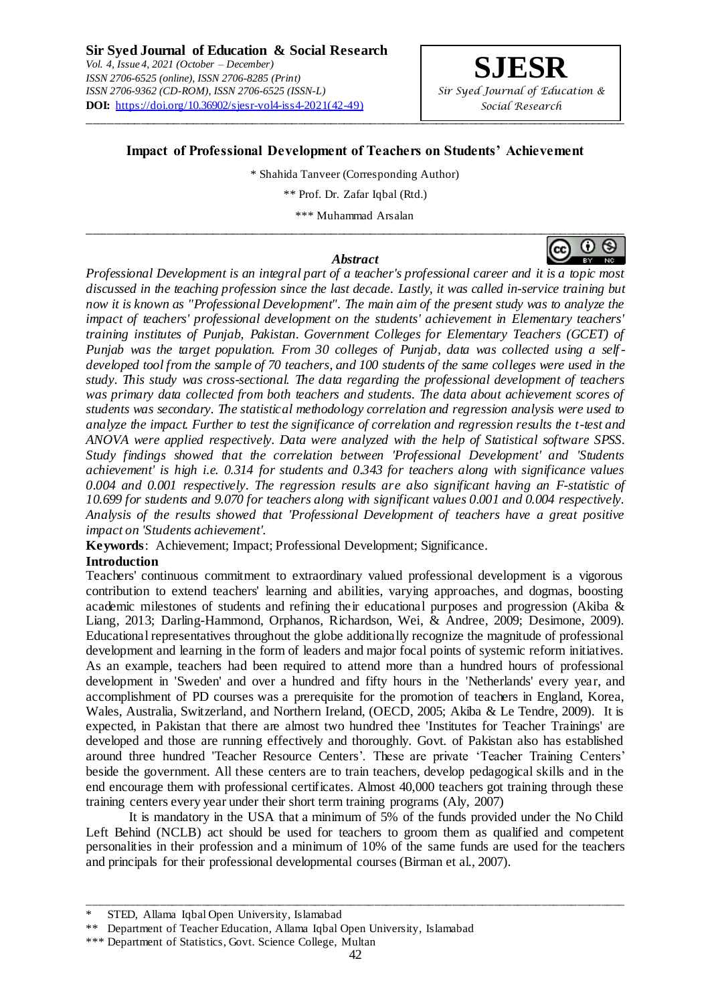

# **Impact of Professional Development of Teachers on Students' Achievement**

\* Shahida Tanveer (Corresponding Author)

\*\* Prof. Dr. Zafar Iqbal (Rtd.)

\*\*\* Muhammad Arsalan

#### *Abstract*

*Professional Development is an integral part of a teacher's professional career and it is a topic most discussed in the teaching profession since the last decade. Lastly, it was called in-service training but now it is known as "Professional Development". The main aim of the present study was to analyze the impact of teachers' professional development on the students' achievement in Elementary teachers' training institutes of Punjab, Pakistan. Government Colleges for Elementary Teachers (GCET) of Punjab was the target population. From 30 colleges of Punjab, data was collected using a selfdeveloped tool from the sample of 70 teachers, and 100 students of the same colleges were used in the study. This study was cross-sectional. The data regarding the professional development of teachers was primary data collected from both teachers and students. The data about achievement scores of students was secondary. The statistical methodology correlation and regression analysis were used to analyze the impact. Further to test the significance of correlation and regression results the t-test and ANOVA were applied respectively. Data were analyzed with the help of Statistical software SPSS. Study findings showed that the correlation between 'Professional Development' and 'Students achievement' is high i.e. 0.314 for students and 0.343 for teachers along with significance values 0.004 and 0.001 respectively. The regression results are also significant having an F-statistic of 10.699 for students and 9.070 for teachers along with significant values 0.001 and 0.004 respectively. Analysis of the results showed that 'Professional Development of teachers have a great positive impact on 'Students achievement'.*

**Keywords**: Achievement; Impact; Professional Development; Significance.

### **Introduction**

Teachers' continuous commitment to extraordinary valued professional development is a vigorous contribution to extend teachers' learning and abilities, varying approaches, and dogmas, boosting academic milestones of students and refining their educational purposes and progression (Akiba & Liang, 2013; Darling-Hammond, Orphanos, Richardson, Wei, & Andree, 2009; Desimone, 2009). Educational representatives throughout the globe additionally recognize the magnitude of professional development and learning in the form of leaders and major focal points of systemic reform initiatives. As an example, teachers had been required to attend more than a hundred hours of professional development in 'Sweden' and over a hundred and fifty hours in the 'Netherlands' every year, and accomplishment of PD courses was a prerequisite for the promotion of teachers in England, Korea, Wales, Australia, Switzerland, and Northern Ireland, (OECD, 2005; Akiba & Le Tendre, 2009). It is expected, in Pakistan that there are almost two hundred thee 'Institutes for Teacher Trainings' are developed and those are running effectively and thoroughly. Govt. of Pakistan also has established around three hundred 'Teacher Resource Centers'. These are private 'Teacher Training Centers' beside the government. All these centers are to train teachers, develop pedagogical skills and in the end encourage them with professional certificates. Almost 40,000 teachers got training through these training centers every year under their short term training programs (Aly, 2007)

It is mandatory in the USA that a minimum of 5% of the funds provided under the No Child Left Behind (NCLB) act should be used for teachers to groom them as qualified and competent personalities in their profession and a minimum of 10% of the same funds are used for the teachers and principals for their professional developmental courses (Birman et al., 2007).

\_\_\_\_\_\_\_\_\_\_\_\_\_\_\_\_\_\_\_\_\_\_\_\_\_\_\_\_\_\_\_\_\_\_\_\_\_\_\_\_\_\_\_\_\_\_\_\_\_\_\_\_\_\_\_\_\_\_\_\_\_\_\_\_\_\_\_\_\_\_\_\_\_\_\_\_\_\_\_\_\_\_\_\_\_\_\_\_\_\_



STED, Allama Iqbal Open University, Islamabad

<sup>\*\*</sup> Department of Teacher Education, Allama Iqbal Open University, Islamabad

<sup>\*\*\*</sup> Department of Statistics, Govt. Science College, Multan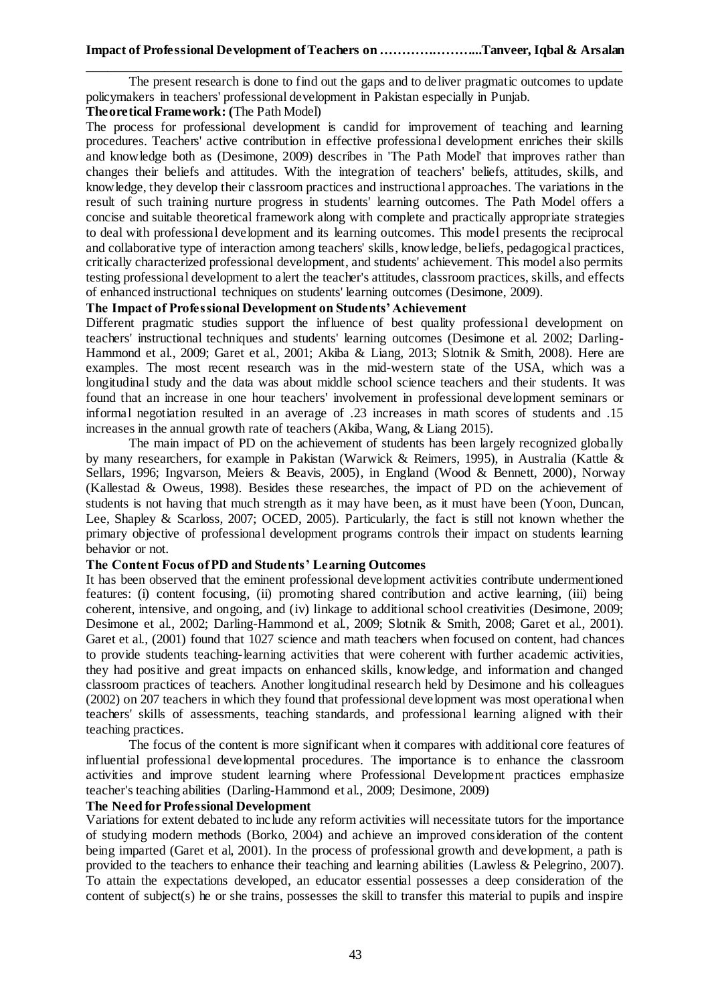The present research is done to find out the gaps and to deliver pragmatic outcomes to update policymakers in teachers' professional development in Pakistan especially in Punjab.

# **Theoretical Framework: (**The Path Model)

The process for professional development is candid for improvement of teaching and learning procedures. Teachers' active contribution in effective professional development enriches their skills and knowledge both as (Desimone, 2009) describes in 'The Path Model' that improves rather than changes their beliefs and attitudes. With the integration of teachers' beliefs, attitudes, skills, and knowledge, they develop their classroom practices and instructional approaches. The variations in the result of such training nurture progress in students' learning outcomes. The Path Model offers a concise and suitable theoretical framework along with complete and practically appropriate strategies to deal with professional development and its learning outcomes. This model presents the reciprocal and collaborative type of interaction among teachers' skills, knowledge, beliefs, pedagogical practices, critically characterized professional development, and students' achievement. This model also permits testing professional development to alert the teacher's attitudes, classroom practices, skills, and effects of enhanced instructional techniques on students' learning outcomes (Desimone, 2009).

### **The Impact of Professional Development on Students' Achievement**

Different pragmatic studies support the influence of best quality professional development on teachers' instructional techniques and students' learning outcomes (Desimone et al. 2002; Darling-Hammond et al., 2009; Garet et al., 2001; Akiba & Liang, 2013; Slotnik & Smith, 2008). Here are examples. The most recent research was in the mid-western state of the USA, which was a longitudinal study and the data was about middle school science teachers and their students. It was found that an increase in one hour teachers' involvement in professional development seminars or informal negotiation resulted in an average of .23 increases in math scores of students and .15 increases in the annual growth rate of teachers (Akiba, Wang, & Liang 2015).

The main impact of PD on the achievement of students has been largely recognized globally by many researchers, for example in Pakistan (Warwick & Reimers, 1995), in Australia (Kattle & Sellars, 1996; Ingvarson, Meiers & Beavis, 2005), in England (Wood & Bennett, 2000), Norway (Kallestad & Oweus, 1998). Besides these researches, the impact of PD on the achievement of students is not having that much strength as it may have been, as it must have been (Yoon, Duncan, Lee, Shapley & Scarloss, 2007; OCED, 2005). Particularly, the fact is still not known whether the primary objective of professional development programs controls their impact on students learning behavior or not.

### **The Content Focus of PD and Students' Learning Outcomes**

It has been observed that the eminent professional development activities contribute undermentioned features: (i) content focusing, (ii) promoting shared contribution and active learning, (iii) being coherent, intensive, and ongoing, and (iv) linkage to additional school creativities (Desimone, 2009; Desimone et al., 2002; Darling-Hammond et al., 2009; Slotnik & Smith, 2008; Garet et al., 2001). Garet et al., (2001) found that 1027 science and math teachers when focused on content, had chances to provide students teaching-learning activities that were coherent with further academic activities, they had positive and great impacts on enhanced skills, knowledge, and information and changed classroom practices of teachers. Another longitudinal research held by Desimone and his colleagues (2002) on 207 teachers in which they found that professional development was most operational when teachers' skills of assessments, teaching standards, and professional learning aligned with their teaching practices.

The focus of the content is more significant when it compares with additional core features of influential professional developmental procedures. The importance is to enhance the classroom activities and improve student learning where Professional Development practices emphasize teacher's teaching abilities (Darling-Hammond et al., 2009; Desimone, 2009)

# **The Need for Professional Development**

Variations for extent debated to include any reform activities will necessitate tutors for the importance of studying modern methods (Borko, 2004) and achieve an improved consideration of the content being imparted (Garet et al, 2001). In the process of professional growth and development, a path is provided to the teachers to enhance their teaching and learning abilities (Lawless & Pelegrino, 2007). To attain the expectations developed, an educator essential possesses a deep consideration of the content of subject(s) he or she trains, possesses the skill to transfer this material to pupils and inspire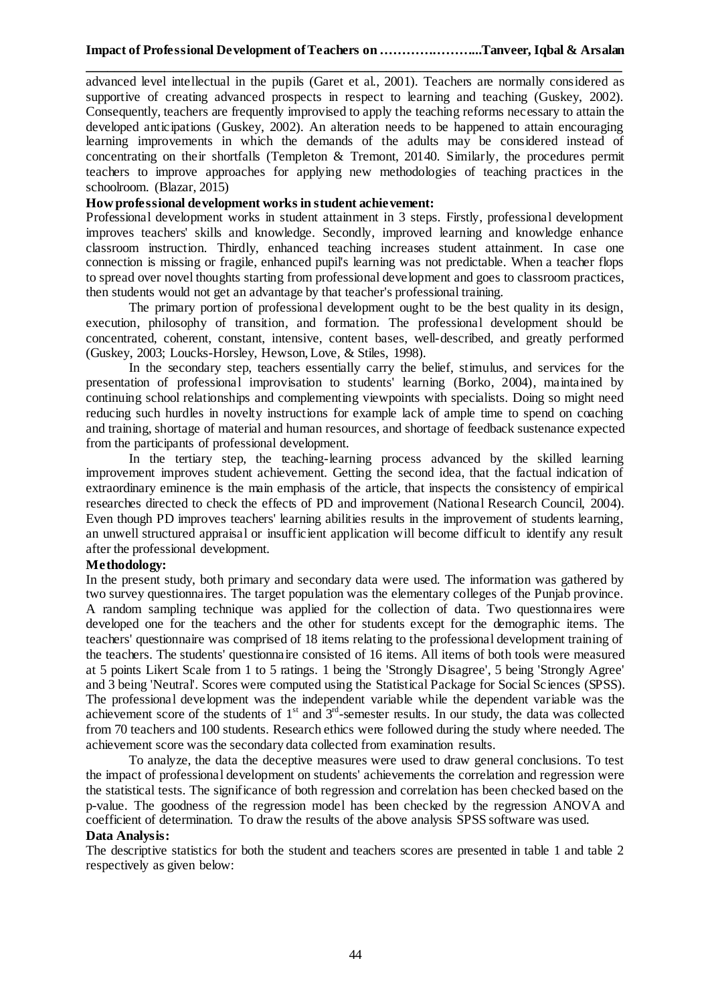advanced level intellectual in the pupils (Garet et al., 2001). Teachers are normally considered as supportive of creating advanced prospects in respect to learning and teaching (Guskey, 2002). Consequently, teachers are frequently improvised to apply the teaching reforms necessary to attain the developed anticipations (Guskey, 2002). An alteration needs to be happened to attain encouraging learning improvements in which the demands of the adults may be considered instead of concentrating on their shortfalls (Templeton & Tremont, 20140. Similarly, the procedures permit teachers to improve approaches for applying new methodologies of teaching practices in the schoolroom. (Blazar, 2015)

# **How professional development works in student achievement:**

Professional development works in student attainment in 3 steps. Firstly, professional development improves teachers' skills and knowledge. Secondly, improved learning and knowledge enhance classroom instruction. Thirdly, enhanced teaching increases student attainment. In case one connection is missing or fragile, enhanced pupil's learning was not predictable. When a teacher flops to spread over novel thoughts starting from professional development and goes to classroom practices, then students would not get an advantage by that teacher's professional training.

The primary portion of professional development ought to be the best quality in its design, execution, philosophy of transition, and formation. The professional development should be concentrated, coherent, constant, intensive, content bases, well-described, and greatly performed (Guskey, 2003; Loucks-Horsley, Hewson, Love, & Stiles, 1998).

In the secondary step, teachers essentially carry the belief, stimulus, and services for the presentation of professional improvisation to students' learning (Borko, 2004), maintained by continuing school relationships and complementing viewpoints with specialists. Doing so might need reducing such hurdles in novelty instructions for example lack of ample time to spend on coaching and training, shortage of material and human resources, and shortage of feedback sustenance expected from the participants of professional development.

In the tertiary step, the teaching-learning process advanced by the skilled learning improvement improves student achievement. Getting the second idea, that the factual indication of extraordinary eminence is the main emphasis of the article, that inspects the consistency of empirical researches directed to check the effects of PD and improvement (National Research Council, 2004). Even though PD improves teachers' learning abilities results in the improvement of students learning, an unwell structured appraisal or insufficient application will become difficult to identify any result after the professional development.

### **Methodology:**

In the present study, both primary and secondary data were used. The information was gathered by two survey questionnaires. The target population was the elementary colleges of the Punjab province. A random sampling technique was applied for the collection of data. Two questionnaires were developed one for the teachers and the other for students except for the demographic items. The teachers' questionnaire was comprised of 18 items relating to the professional development training of the teachers. The students' questionnaire consisted of 16 items. All items of both tools were measured at 5 points Likert Scale from 1 to 5 ratings. 1 being the 'Strongly Disagree', 5 being 'Strongly Agree' and 3 being 'Neutral'. Scores were computed using the Statistical Package for Social Sciences (SPSS). The professional development was the independent variable while the dependent variable was the achievement score of the students of  $1<sup>st</sup>$  and  $3<sup>rd</sup>$ -semester results. In our study, the data was collected from 70 teachers and 100 students. Research ethics were followed during the study where needed. The achievement score was the secondary data collected from examination results.

To analyze, the data the deceptive measures were used to draw general conclusions. To test the impact of professional development on students' achievements the correlation and regression were the statistical tests. The significance of both regression and correlation has been checked based on the p-value. The goodness of the regression model has been checked by the regression ANOVA and coefficient of determination. To draw the results of the above analysis SPSS software was used.

### **Data Analysis:**

The descriptive statistics for both the student and teachers scores are presented in table 1 and table 2 respectively as given below: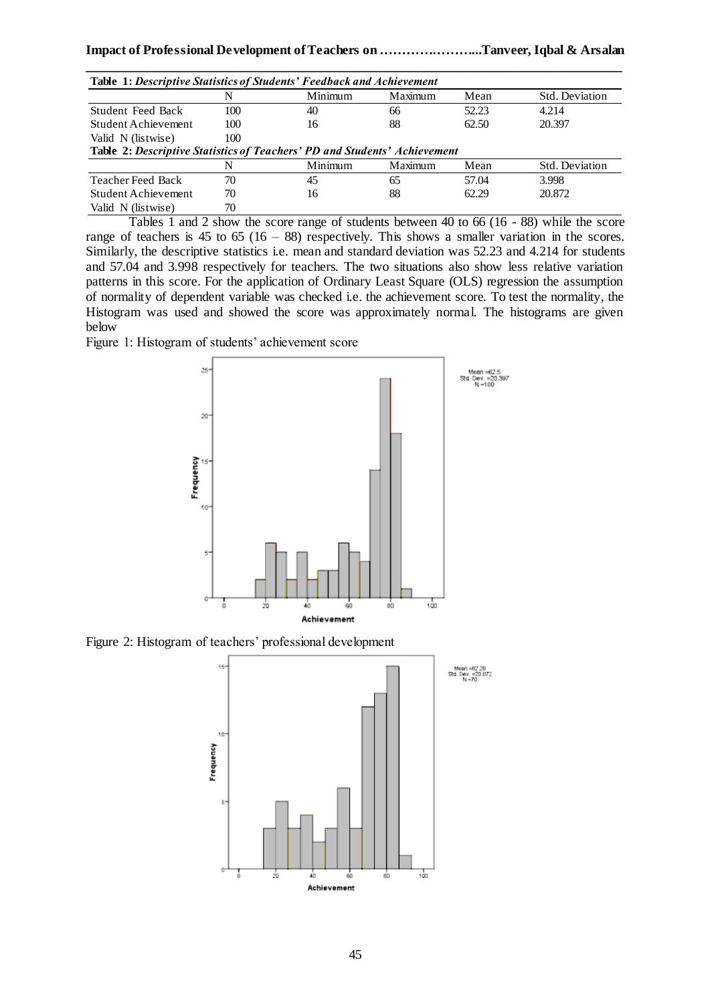| <b>Table 1: Descriptive Statistics of Students' Feedback and Achievement</b>     |     |         |         |       |                |  |  |
|----------------------------------------------------------------------------------|-----|---------|---------|-------|----------------|--|--|
|                                                                                  | N   | Minimum | Maximum | Mean  | Std. Deviation |  |  |
| <b>Student Feed Back</b>                                                         | 100 | 40      | 66      | 52.23 | 4.214          |  |  |
| Student Achievement                                                              | 100 | 16      | 88      | 62.50 | 20.397         |  |  |
| Valid N (listwise)                                                               | 100 |         |         |       |                |  |  |
| <b>Table 2: Descriptive Statistics of Teachers' PD and Students' Achievement</b> |     |         |         |       |                |  |  |
|                                                                                  | N   | Minimum | Maximum | Mean  | Std. Deviation |  |  |
| <b>Teacher Feed Back</b>                                                         | 70  | 45      | 65      | 57.04 | 3.998          |  |  |
| Student Achievement                                                              | 70  | 16      | 88      | 62.29 | 20.872         |  |  |
| Valid N (listwise)                                                               | 70  |         |         |       |                |  |  |

Tables 1 and 2 show the score range of students between 40 to 66 (16 - 88) while the score range of teachers is 45 to 65 (16 – 88) respectively. This shows a smaller variation in the scores. Similarly, the descriptive statistics i.e. mean and standard deviation was 52.23 and 4.214 for students and 57.04 and 3.998 respectively for teachers. The two situations also show less relative variation patterns in this score. For the application of Ordinary Least Square (OLS) regression the assumption of normality of dependent variable was checked i.e. the achievement score. To test the normality, the Histogram was used and showed the score was approximately normal. The histograms are given below

Figure 1: Histogram of students' achievement score



Figure 2: Histogram of teachers' professional development

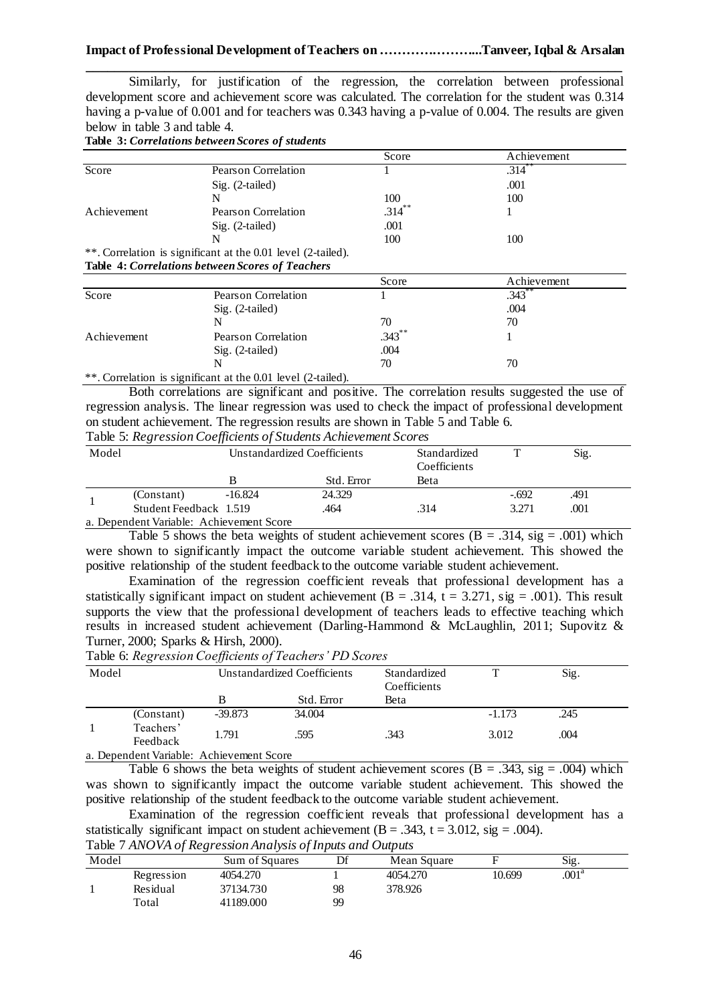Similarly, for justification of the regression, the correlation between professional development score and achievement score was calculated. The correlation for the student was 0.314 having a p-value of 0.001 and for teachers was 0.343 having a p-value of 0.004. The results are given below in table 3 and table 4.

**Table 3:** *Correlations between Scores of students* 

|             |                                                              | Score     | Achievement          |
|-------------|--------------------------------------------------------------|-----------|----------------------|
| Score       | Pearson Correlation                                          |           | $.314$ <sup>**</sup> |
|             | $Sig. (2-tailed)$                                            |           | .001                 |
|             | N                                                            | 100       | 100                  |
| Achievement | <b>Pearson Correlation</b>                                   | $.314$ ** |                      |
|             | $Sig. (2-tailed)$                                            | .001      |                      |
|             | N                                                            | 100       | 100                  |
|             | **. Correlation is significant at the 0.01 level (2-tailed). |           |                      |

|  |  |  | <b>Table 4: Correlations between Scores of Teachers</b> |
|--|--|--|---------------------------------------------------------|
|  |  |  |                                                         |

|                                                                                                                 |                            | Score     | Achievement |  |
|-----------------------------------------------------------------------------------------------------------------|----------------------------|-----------|-------------|--|
| Score                                                                                                           | Pearson Correlation        |           | $.343***$   |  |
|                                                                                                                 | $Sig. (2-tailed)$          |           | .004        |  |
|                                                                                                                 | N                          | 70        | 70          |  |
| Achievement                                                                                                     | <b>Pearson Correlation</b> | $.343$ ** |             |  |
|                                                                                                                 | Sig. (2-tailed)            | .004      |             |  |
|                                                                                                                 | N                          | 70        | 70          |  |
| $\mathcal{L}$ . The contract of the contract of $\mathcal{L}$ and $\mathcal{L}$ . The contract of $\mathcal{L}$ |                            |           |             |  |

\*\*. Correlation is significant at the 0.01 level (2-tailed).

Both correlations are significant and positive. The correlation results suggested the use of regression analysis. The linear regression was used to check the impact of professional development on student achievement. The regression results are shown in Table 5 and Table 6. Table 5: *Regression Coefficients of Students Achievement Scores*

|       |                                          |                             | Tavic 9. Regression Coefficients of Buddents Achievement Scores |                              |         |      |
|-------|------------------------------------------|-----------------------------|-----------------------------------------------------------------|------------------------------|---------|------|
| Model |                                          | Unstandardized Coefficients |                                                                 | Standardized<br>Coefficients |         | Sig. |
|       |                                          |                             | Std. Error                                                      | Beta                         |         |      |
|       | (Constant)                               | -16.824                     | 24.329                                                          |                              | $-.692$ | .491 |
|       | Student Feedback 1.519                   |                             | .464                                                            | .314                         | 3.271   | .001 |
|       | a. Dependent Variable: Achievement Score |                             |                                                                 |                              |         |      |

Table 5 shows the beta weights of student achievement scores  $(B = .314, sig = .001)$  which were shown to significantly impact the outcome variable student achievement. This showed the positive relationship of the student feedback to the outcome variable student achievement.

Examination of the regression coefficient reveals that professional development has a statistically significant impact on student achievement (B = .314,  $t = 3.271$ , sig = .001). This result supports the view that the professional development of teachers leads to effective teaching which results in increased student achievement (Darling-Hammond & McLaughlin, 2011; Supovitz & Turner, 2000; Sparks & Hirsh, 2000).

Table 6: *Regression Coefficients of Teachers' PD Scores*

| Model |                       |           | Unstandardized Coefficients | Standardized<br>Coefficients |          | Sig. |  |
|-------|-----------------------|-----------|-----------------------------|------------------------------|----------|------|--|
|       |                       |           | Std. Error                  | Beta                         |          |      |  |
|       | (Constant)            | $-39.873$ | 34,004                      |                              | $-1.173$ | .245 |  |
|       | Teachers'<br>Feedback | 1.791     | .595                        | .343                         | 3.012    | .004 |  |

a. Dependent Variable: Achievement Score

Table 6 shows the beta weights of student achievement scores  $(B = .343, sig = .004)$  which was shown to significantly impact the outcome variable student achievement. This showed the positive relationship of the student feedback to the outcome variable student achievement.

Examination of the regression coefficient reveals that professional development has a statistically significant impact on student achievement  $(B = .343, t = 3.012, sig = .004)$ .

Table 7 *ANOVA of Regression Analysis of Inputs and Outputs*

| Model |            | Sum of Squares | Df | Mean Square |        | Sig.              |  |
|-------|------------|----------------|----|-------------|--------|-------------------|--|
|       | Regression | 4054.270       |    | 4054.270    | 10.699 | $.001^\mathrm{a}$ |  |
|       | Residual   | 37134.730      | 98 | 378.926     |        |                   |  |
|       | Total      | 41189.000      | 99 |             |        |                   |  |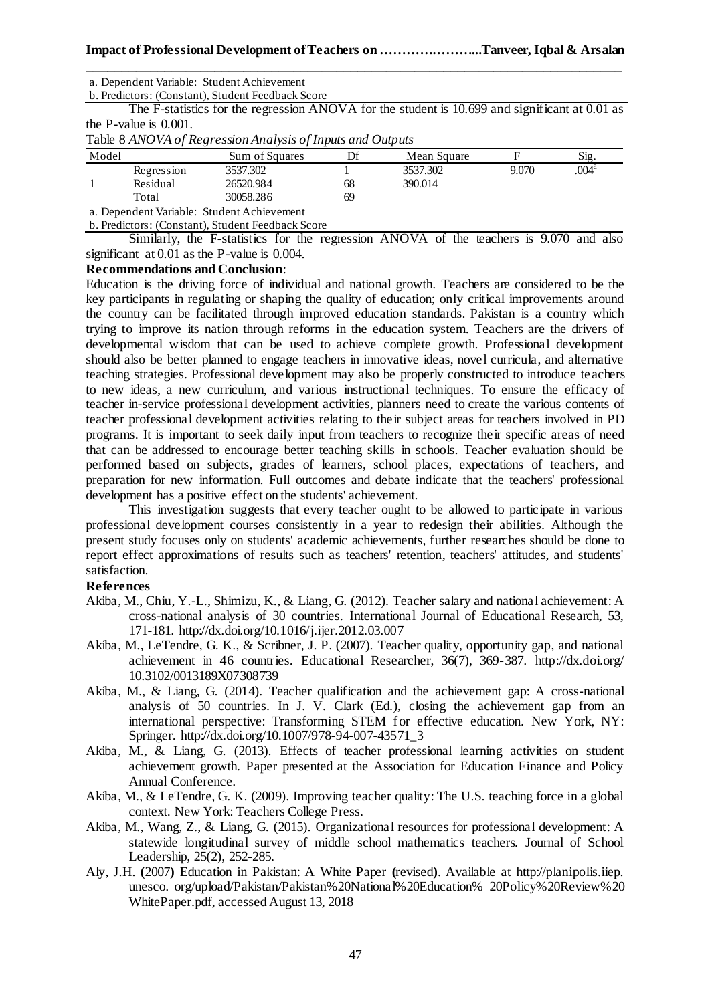b. Predictors: (Constant), Student Feedback Score

The F-statistics for the regression ANOVA for the student is 10.699 and significant at 0.01 as the P-value is 0.001.

Table 8 *ANOVA of Regression Analysis of Inputs and Outputs*

|       |            | . .                                       |    |             |       |                     |
|-------|------------|-------------------------------------------|----|-------------|-------|---------------------|
| Model |            | Sum of Squares                            |    | Mean Square |       | $S_1g$ .            |
|       | Regression | 3537.302                                  |    | 3537.302    | 9.070 | $.004^{\mathrm{a}}$ |
|       | Residual   | 26520.984                                 | 68 | 390.014     |       |                     |
|       | Total      | 30058.286                                 | 69 |             |       |                     |
|       |            | a Danandant Variable: Student Aghiayamant |    |             |       |                     |

a. Dependent Variable: Student Achievement

b. Predictors: (Constant), Student Feedback Score

Similarly, the F-statistics for the regression ANOVA of the teachers is 9.070 and also significant at 0.01 as the P-value is 0.004.

### **Recommendations and Conclusion**:

Education is the driving force of individual and national growth. Teachers are considered to be the key participants in regulating or shaping the quality of education; only critical improvements around the country can be facilitated through improved education standards. Pakistan is a country which trying to improve its nation through reforms in the education system. Teachers are the drivers of developmental wisdom that can be used to achieve complete growth. Professional development should also be better planned to engage teachers in innovative ideas, novel curricula, and alternative teaching strategies. Professional development may also be properly constructed to introduce teachers to new ideas, a new curriculum, and various instructional techniques. To ensure the efficacy of teacher in-service professional development activities, planners need to create the various contents of teacher professional development activities relating to their subject areas for teachers involved in PD programs. It is important to seek daily input from teachers to recognize their specific areas of need that can be addressed to encourage better teaching skills in schools. Teacher evaluation should be performed based on subjects, grades of learners, school places, expectations of teachers, and preparation for new information. Full outcomes and debate indicate that the teachers' professional development has a positive effect on the students' achievement.

This investigation suggests that every teacher ought to be allowed to participate in various professional development courses consistently in a year to redesign their abilities. Although the present study focuses only on students' academic achievements, further researches should be done to report effect approximations of results such as teachers' retention, teachers' attitudes, and students' satisfaction.

### **References**

- Akiba, M., Chiu, Y.-L., Shimizu, K., & Liang, G. (2012). Teacher salary and national achievement: A cross-national analysis of 30 countries. International Journal of Educational Research, 53, 171-181.<http://dx.doi.org/10.1016/j.ijer.2012.03.007>
- Akiba, M., LeTendre, G. K., & Scribner, J. P. (2007). Teacher quality, opportunity gap, and national achievement in 46 countries. Educational Researcher, 36(7), 369-387. [http://dx.doi.org/](http://dx.doi.org/10.3102/0013189X07308739) [10.3102/0013189X07308739](http://dx.doi.org/10.3102/0013189X07308739)
- Akiba, M., & Liang, G. (2014). Teacher qualification and the achievement gap: A cross-national analysis of 50 countries. In J. V. Clark (Ed.), closing the achievement gap from an international perspective: Transforming STEM for effective education. New York, NY: Springer. [http://dx.doi.org/10.1007/978-94-007-43571\\_3](http://dx.doi.org/10.1007/978-94-007-43571_3)
- Akiba, M., & Liang, G. (2013). Effects of teacher professional learning activities on student achievement growth. Paper presented at the Association for Education Finance and Policy Annual Conference.
- Akiba, M., & LeTendre, G. K. (2009). Improving teacher quality: The U.S. teaching force in a global context. New York: Teachers College Press.
- Akiba, M., Wang, Z., & Liang, G. (2015). Organizational resources for professional development: A statewide longitudinal survey of middle school mathematics teachers. Journal of School Leadership, 25(2), 252-285.
- Aly, J.H. **(**2007**)** Education in Pakistan: A White Paper **(**revised**)**. Available at [http://planipolis.iiep.](http://planipolis.iiep.unesco.org/upload/Pakistan/Pakistan%20National%20Education%25) [unesco. org/upload/Pakistan/Pakistan%20National%20Education%](http://planipolis.iiep.unesco.org/upload/Pakistan/Pakistan%20National%20Education%25) 20Policy%20Review%20 WhitePaper.pdf, accessed August 13, 2018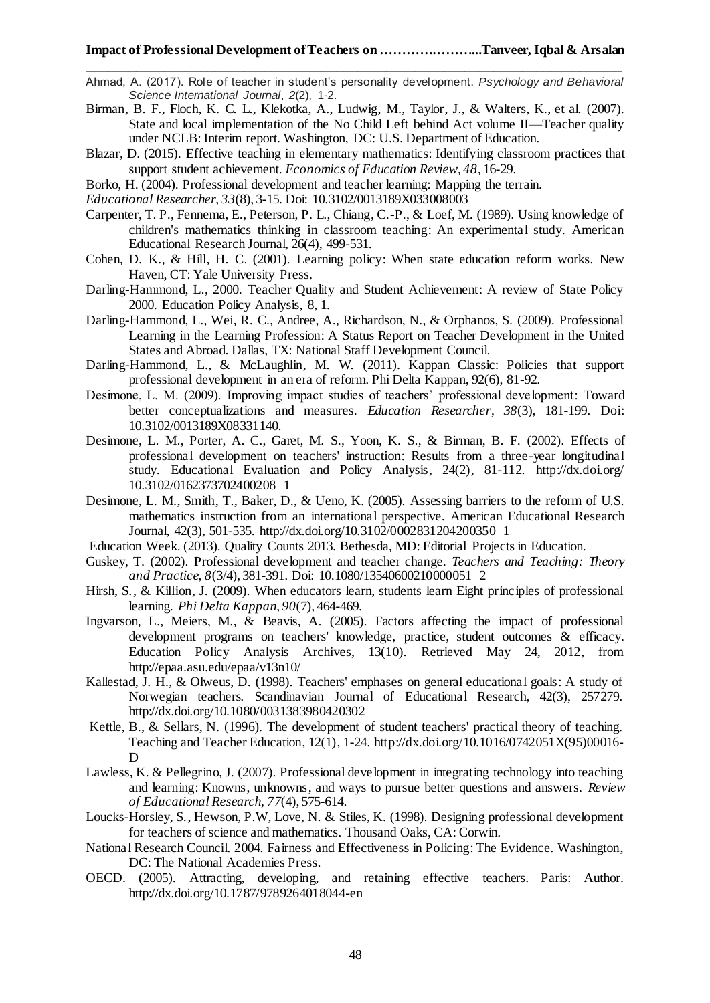- Ahmad, A. (2017). Role of teacher in student's personality development. *Psychology and Behavioral Science International Journal*, *2*(2), 1-2.
- Birman, B. F., Floch, K. C. L., Klekotka, A., Ludwig, M., Taylor, J., & Walters, K., et al. (2007). State and local implementation of the No Child Left behind Act volume II—Teacher quality under NCLB: Interim report. Washington, DC: U.S. Department of Education.
- Blazar, D. (2015). Effective teaching in elementary mathematics: Identifying classroom practices that support student achievement. *Economics of Education Review, 48*, 16-29.
- Borko, H. (2004). Professional development and teacher learning: Mapping the terrain.
- *Educational Researcher*, *33*(8), 3-15. Doi: 10.3102/0013189X033008003
- Carpenter, T. P., Fennema, E., Peterson, P. L., Chiang, C.-P., & Loef, M. (1989). Using knowledge of children's mathematics thinking in classroom teaching: An experimental study. American Educational Research Journal, 26(4), 499-531.
- Cohen, D. K., & Hill, H. C. (2001). Learning policy: When state education reform works. New Haven, CT: Yale University Press.
- Darling-Hammond, L., 2000. Teacher Quality and Student Achievement: A review of State Policy 2000. Education Policy Analysis, 8, 1.
- Darling-Hammond, L., Wei, R. C., Andree, A., Richardson, N., & Orphanos, S. (2009). Professional Learning in the Learning Profession: A Status Report on Teacher Development in the United States and Abroad. Dallas, TX: National Staff Development Council.
- Darling-Hammond, L., & McLaughlin, M. W. (2011). Kappan Classic: Policies that support professional development in an era of reform. Phi Delta Kappan, 92(6), 81-92.
- Desimone, L. M. (2009). Improving impact studies of teachers' professional development: Toward better conceptualizations and measures. *Education Researcher*, *38*(3), 181-199. Doi: 10.3102/0013189X08331140.
- Desimone, L. M., Porter, A. C., Garet, M. S., Yoon, K. S., & Birman, B. F. (2002). Effects of professional development on teachers' instruction: Results from a three-year longitudinal study. Educational Evaluation and Policy Analysis, 24(2), 81-112. [http://dx.doi.org/](http://dx.doi.org/10.3102/0162373702400208) [10.3102/0162373702400208](http://dx.doi.org/10.3102/0162373702400208) 1
- Desimone, L. M., Smith, T., Baker, D., & Ueno, K. (2005). Assessing barriers to the reform of U.S. mathematics instruction from an international perspective. American Educational Research Journal, 42(3), 501-535.<http://dx.doi.org/10.3102/0002831204200350> 1
- Education Week. (2013). Quality Counts 2013. Bethesda, MD: Editorial Projects in Education.
- Guskey, T. (2002). Professional development and teacher change. *Teachers and Teaching: Theory and Practice, 8*(3/4), 381-391. Doi: 10.1080/13540600210000051 2
- Hirsh, S., & Killion, J. (2009). When educators learn, students learn Eight principles of professional learning. *Phi Delta Kappan*, *90*(7), 464-469.
- Ingvarson, L., Meiers, M., & Beavis, A. (2005). Factors affecting the impact of professional development programs on teachers' knowledge, practice, student outcomes & efficacy. Education Policy Analysis Archives, 13(10). Retrieved May 24, 2012, from <http://epaa.asu.edu/epaa/v13n10/>
- Kallestad, J. H., & Olweus, D. (1998). Teachers' emphases on general educational goals: A study of Norwegian teachers. Scandinavian Journal of Educational Research, 42(3), 257279. <http://dx.doi.org/10.1080/0031383980420302>
- Kettle, B., & Sellars, N. (1996). The development of student teachers' practical theory of teaching. Teaching and Teacher Education, 12(1), 1-24. [http://dx.doi.org/10.1016/0742051X\(95\)00016-](http://dx.doi.org/10.1016/0742051X(95)00016-D) [D](http://dx.doi.org/10.1016/0742051X(95)00016-D)
- Lawless, K. & Pellegrino, J. (2007). Professional development in integrating technology into teaching and learning: Knowns, unknowns, and ways to pursue better questions and answers. *Review of Educational Research, 77*(4), 575-614.
- Loucks-Horsley, S., Hewson, P.W, Love, N. & Stiles, K. (1998). Designing professional development for teachers of science and mathematics. Thousand Oaks, CA: Corwin.
- National Research Council. 2004. Fairness and Effectiveness in Policing: The Evidence. Washington, DC: The National Academies Press.
- OECD. (2005). Attracting, developing, and retaining effective teachers. Paris: Author. <http://dx.doi.org/10.1787/9789264018044-en>